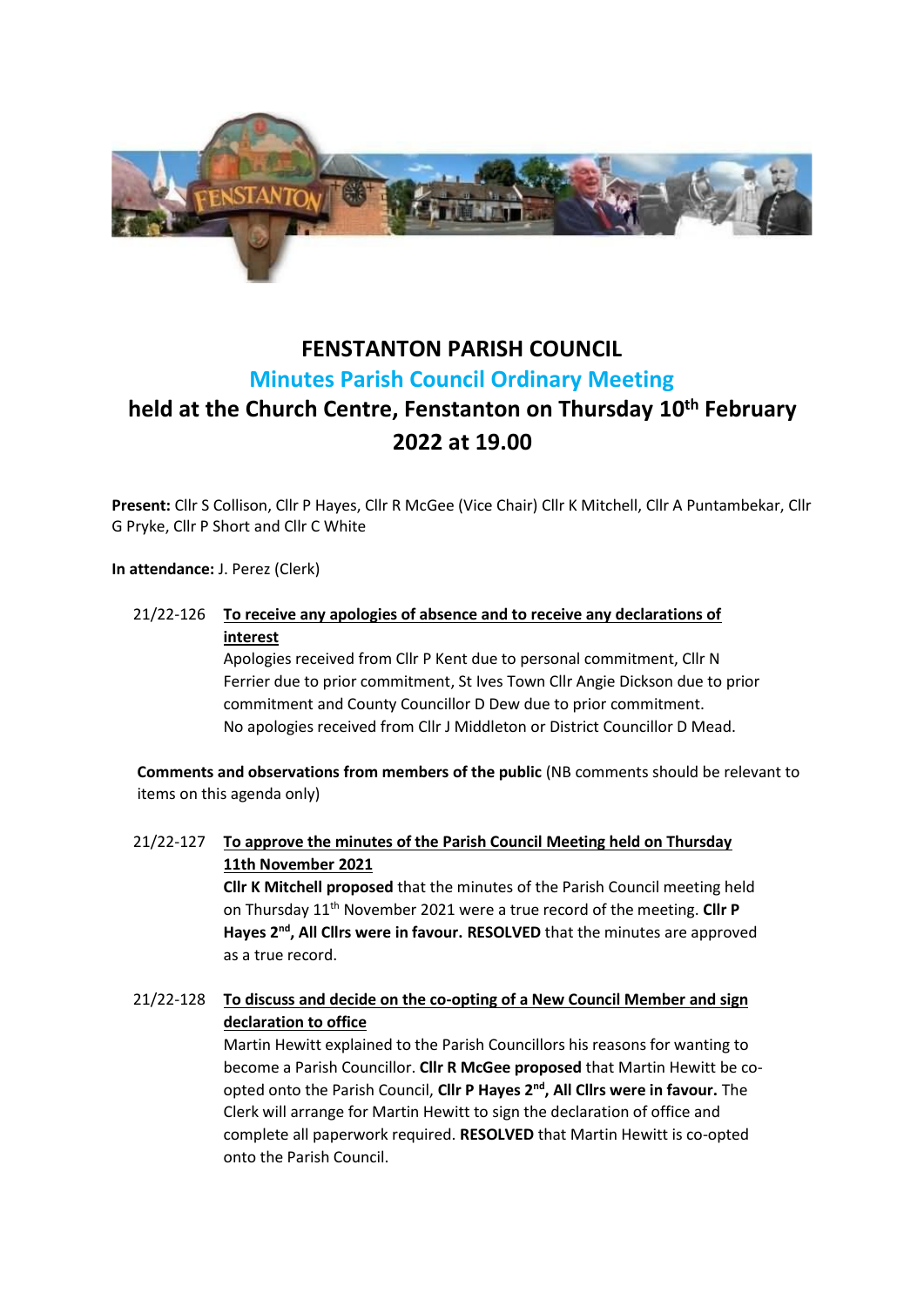

# **FENSTANTON PARISH COUNCIL Minutes Parish Council Ordinary Meeting**

# **held at the Church Centre, Fenstanton on Thursday 10th February 2022 at 19.00**

**Present:** Cllr S Collison, Cllr P Hayes, Cllr R McGee (Vice Chair) Cllr K Mitchell, Cllr A Puntambekar, Cllr G Pryke, Cllr P Short and Cllr C White

**In attendance:** J. Perez (Clerk)

## 21/22-126 **To receive any apologies of absence and to receive any declarations of interest**

Apologies received from Cllr P Kent due to personal commitment, Cllr N Ferrier due to prior commitment, St Ives Town Cllr Angie Dickson due to prior commitment and County Councillor D Dew due to prior commitment. No apologies received from Cllr J Middleton or District Councillor D Mead.

**Comments and observations from members of the public** (NB comments should be relevant to items on this agenda only)

21/22-127 **To approve the minutes of the Parish Council Meeting held on Thursday 11th November 2021 Cllr K Mitchell proposed** that the minutes of the Parish Council meeting held

on Thursday 11th November 2021 were a true record of the meeting. **Cllr P**  Hayes 2<sup>nd</sup>, All Cllrs were in favour. RESOLVED that the minutes are approved as a true record.

# 21/22-128 **To discuss and decide on the co-opting of a New Council Member and sign declaration to office**

Martin Hewitt explained to the Parish Councillors his reasons for wanting to become a Parish Councillor. **Cllr R McGee proposed** that Martin Hewitt be coopted onto the Parish Council, **Cllr P Hayes 2nd, All Cllrs were in favour.** The Clerk will arrange for Martin Hewitt to sign the declaration of office and complete all paperwork required. **RESOLVED** that Martin Hewitt is co-opted onto the Parish Council.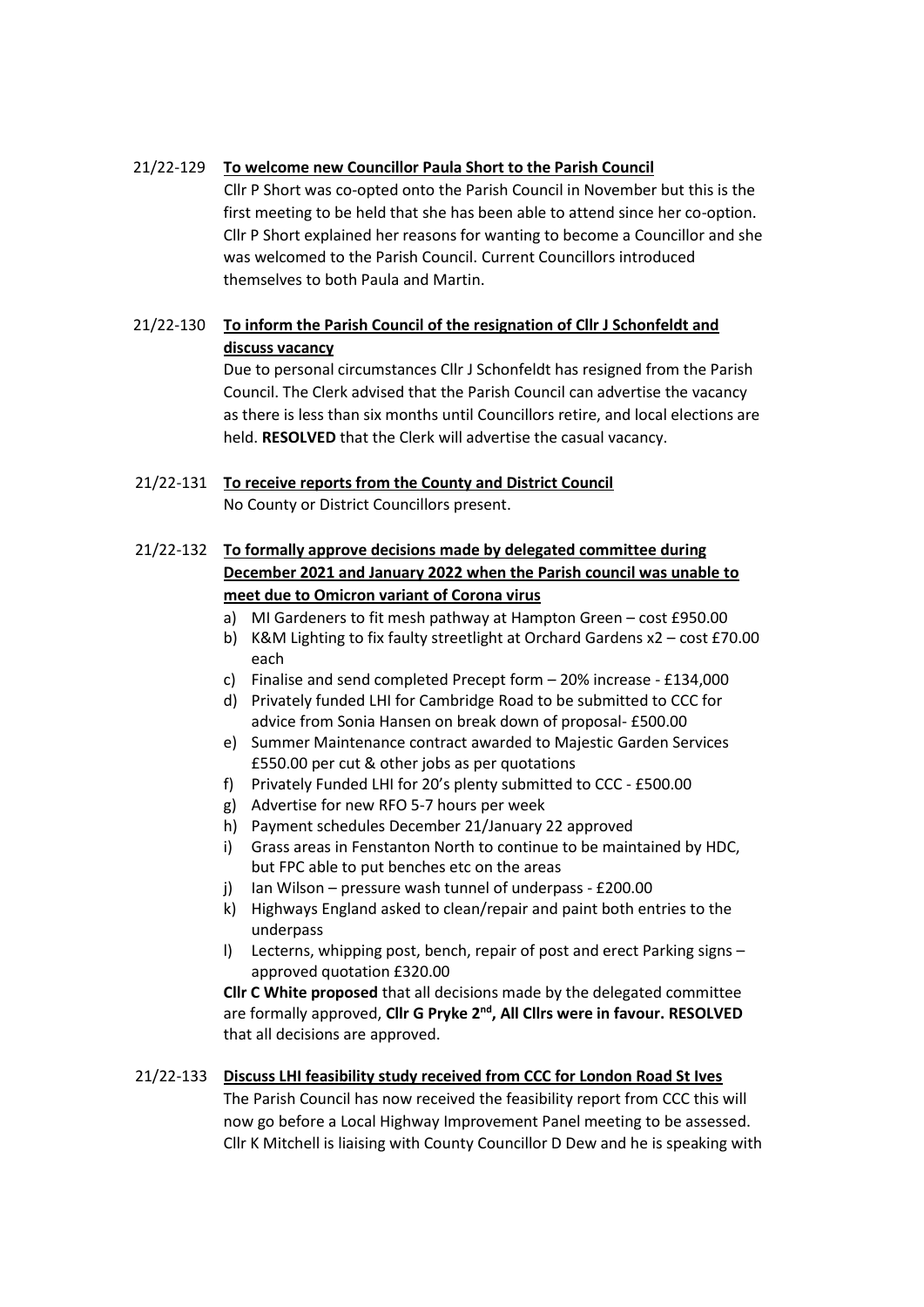### 21/22-129 **To welcome new Councillor Paula Short to the Parish Council**

Cllr P Short was co-opted onto the Parish Council in November but this is the first meeting to be held that she has been able to attend since her co-option. Cllr P Short explained her reasons for wanting to become a Councillor and she was welcomed to the Parish Council. Current Councillors introduced themselves to both Paula and Martin.

# 21/22-130 **To inform the Parish Council of the resignation of Cllr J Schonfeldt and discuss vacancy**

Due to personal circumstances Cllr J Schonfeldt has resigned from the Parish Council. The Clerk advised that the Parish Council can advertise the vacancy as there is less than six months until Councillors retire, and local elections are held. **RESOLVED** that the Clerk will advertise the casual vacancy.

## 21/22-131 **To receive reports from the County and District Council** No County or District Councillors present.

# 21/22-132 **To formally approve decisions made by delegated committee during December 2021 and January 2022 when the Parish council was unable to meet due to Omicron variant of Corona virus**

- a) MI Gardeners to fit mesh pathway at Hampton Green cost £950.00
- b) K&M Lighting to fix faulty streetlight at Orchard Gardens x2 cost £70.00 each
- c) Finalise and send completed Precept form 20% increase £134,000
- d) Privately funded LHI for Cambridge Road to be submitted to CCC for advice from Sonia Hansen on break down of proposal- £500.00
- e) Summer Maintenance contract awarded to Majestic Garden Services £550.00 per cut & other jobs as per quotations
- f) Privately Funded LHI for 20's plenty submitted to CCC £500.00
- g) Advertise for new RFO 5-7 hours per week
- h) Payment schedules December 21/January 22 approved
- i) Grass areas in Fenstanton North to continue to be maintained by HDC, but FPC able to put benches etc on the areas
- j) Ian Wilson pressure wash tunnel of underpass £200.00
- k) Highways England asked to clean/repair and paint both entries to the underpass
- l) Lecterns, whipping post, bench, repair of post and erect Parking signs approved quotation £320.00

**Cllr C White proposed** that all decisions made by the delegated committee are formally approved, **Cllr G Pryke 2nd, All Cllrs were in favour. RESOLVED**  that all decisions are approved.

## 21/22-133 **Discuss LHI feasibility study received from CCC for London Road St Ives**

The Parish Council has now received the feasibility report from CCC this will now go before a Local Highway Improvement Panel meeting to be assessed. Cllr K Mitchell is liaising with County Councillor D Dew and he is speaking with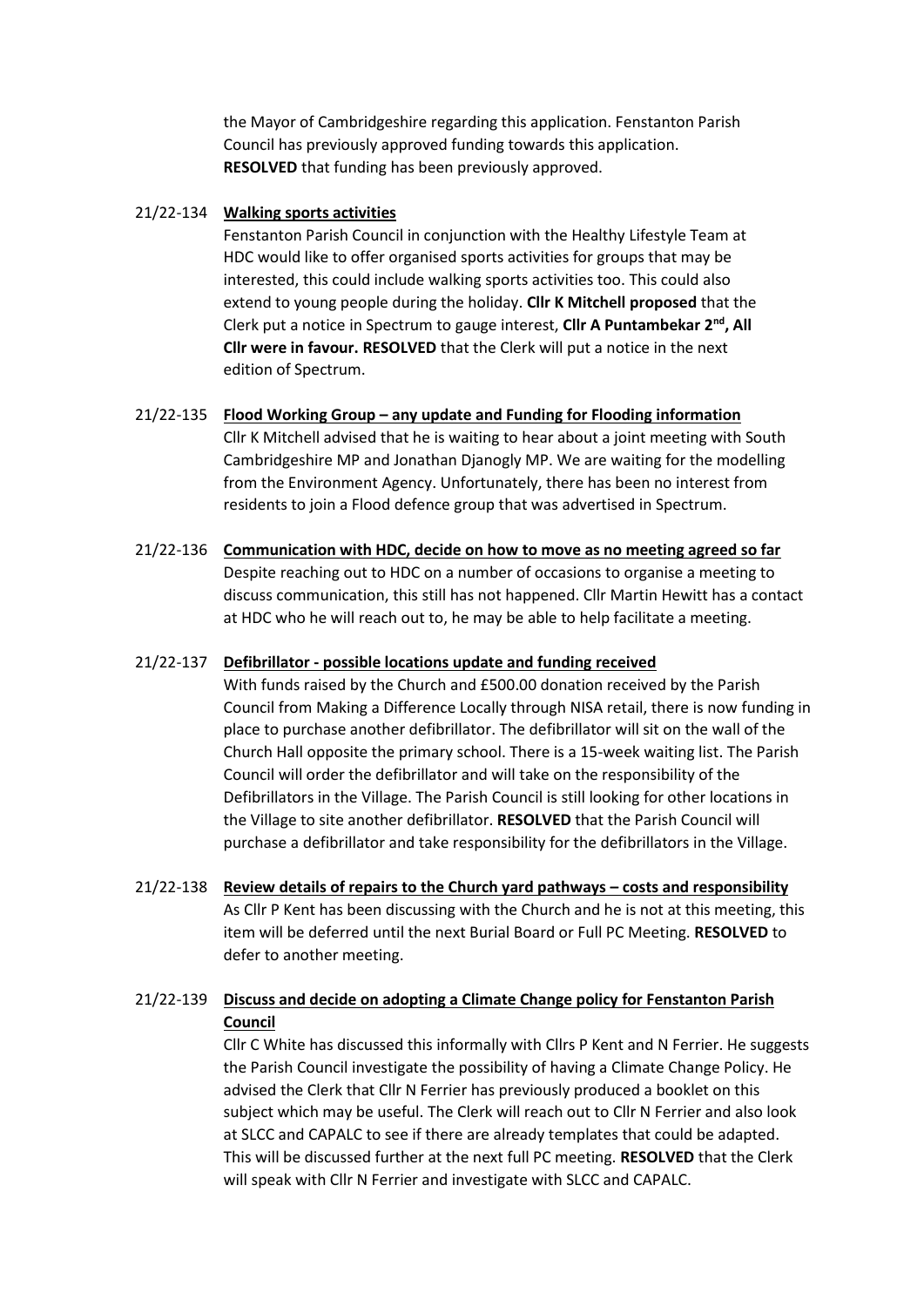the Mayor of Cambridgeshire regarding this application. Fenstanton Parish Council has previously approved funding towards this application. **RESOLVED** that funding has been previously approved.

#### 21/22-134 **Walking sports activities**

Fenstanton Parish Council in conjunction with the Healthy Lifestyle Team at HDC would like to offer organised sports activities for groups that may be interested, this could include walking sports activities too. This could also extend to young people during the holiday. **Cllr K Mitchell proposed** that the Clerk put a notice in Spectrum to gauge interest, **Cllr A Puntambekar 2nd, All Cllr were in favour. RESOLVED** that the Clerk will put a notice in the next edition of Spectrum.

#### 21/22-135 **Flood Working Group – any update and Funding for Flooding information**

Cllr K Mitchell advised that he is waiting to hear about a joint meeting with South Cambridgeshire MP and Jonathan Djanogly MP. We are waiting for the modelling from the Environment Agency. Unfortunately, there has been no interest from residents to join a Flood defence group that was advertised in Spectrum.

21/22-136 **Communication with HDC, decide on how to move as no meeting agreed so far** Despite reaching out to HDC on a number of occasions to organise a meeting to discuss communication, this still has not happened. Cllr Martin Hewitt has a contact at HDC who he will reach out to, he may be able to help facilitate a meeting.

#### 21/22-137 **Defibrillator - possible locations update and funding received**

With funds raised by the Church and £500.00 donation received by the Parish Council from Making a Difference Locally through NISA retail, there is now funding in place to purchase another defibrillator. The defibrillator will sit on the wall of the Church Hall opposite the primary school. There is a 15-week waiting list. The Parish Council will order the defibrillator and will take on the responsibility of the Defibrillators in the Village. The Parish Council is still looking for other locations in the Village to site another defibrillator. **RESOLVED** that the Parish Council will purchase a defibrillator and take responsibility for the defibrillators in the Village.

21/22-138 **Review details of repairs to the Church yard pathways – costs and responsibility** As Cllr P Kent has been discussing with the Church and he is not at this meeting, this item will be deferred until the next Burial Board or Full PC Meeting. **RESOLVED** to defer to another meeting.

## 21/22-139 **Discuss and decide on adopting a Climate Change policy for Fenstanton Parish Council**

Cllr C White has discussed this informally with Cllrs P Kent and N Ferrier. He suggests the Parish Council investigate the possibility of having a Climate Change Policy. He advised the Clerk that Cllr N Ferrier has previously produced a booklet on this subject which may be useful. The Clerk will reach out to Cllr N Ferrier and also look at SLCC and CAPALC to see if there are already templates that could be adapted. This will be discussed further at the next full PC meeting. **RESOLVED** that the Clerk will speak with Cllr N Ferrier and investigate with SLCC and CAPALC.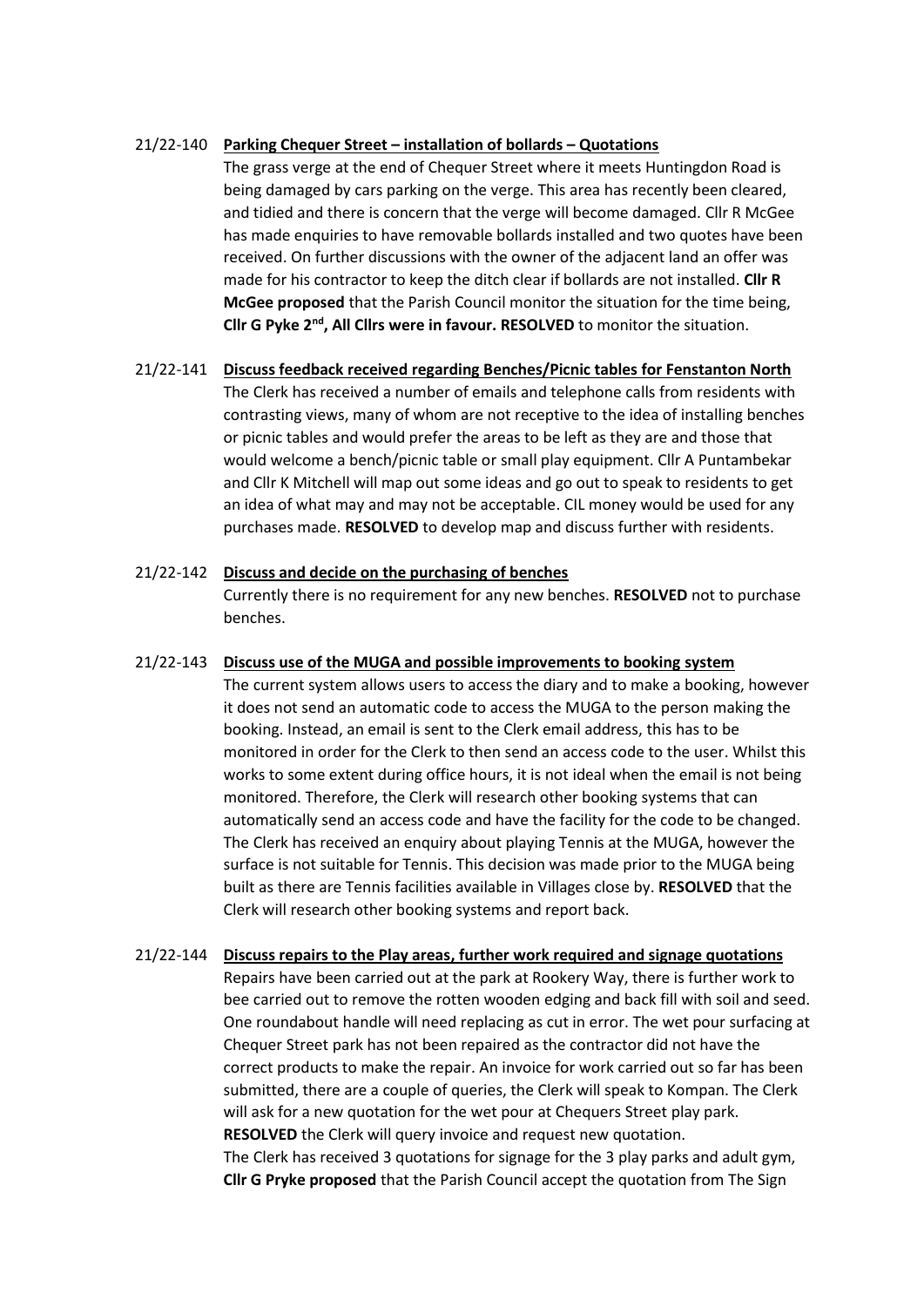### 21/22-140 **Parking Chequer Street – installation of bollards – Quotations**

The grass verge at the end of Chequer Street where it meets Huntingdon Road is being damaged by cars parking on the verge. This area has recently been cleared, and tidied and there is concern that the verge will become damaged. Cllr R McGee has made enquiries to have removable bollards installed and two quotes have been received. On further discussions with the owner of the adjacent land an offer was made for his contractor to keep the ditch clear if bollards are not installed. **Cllr R McGee proposed** that the Parish Council monitor the situation for the time being, **Cllr G Pyke 2nd, All Cllrs were in favour. RESOLVED** to monitor the situation.

# 21/22-141 **Discuss feedback received regarding Benches/Picnic tables for Fenstanton North** The Clerk has received a number of emails and telephone calls from residents with contrasting views, many of whom are not receptive to the idea of installing benches or picnic tables and would prefer the areas to be left as they are and those that would welcome a bench/picnic table or small play equipment. Cllr A Puntambekar and Cllr K Mitchell will map out some ideas and go out to speak to residents to get an idea of what may and may not be acceptable. CIL money would be used for any purchases made. **RESOLVED** to develop map and discuss further with residents.

# 21/22-142 **Discuss and decide on the purchasing of benches** Currently there is no requirement for any new benches. **RESOLVED** not to purchase benches.

## 21/22-143 **Discuss use of the MUGA and possible improvements to booking system**

The current system allows users to access the diary and to make a booking, however it does not send an automatic code to access the MUGA to the person making the booking. Instead, an email is sent to the Clerk email address, this has to be monitored in order for the Clerk to then send an access code to the user. Whilst this works to some extent during office hours, it is not ideal when the email is not being monitored. Therefore, the Clerk will research other booking systems that can automatically send an access code and have the facility for the code to be changed. The Clerk has received an enquiry about playing Tennis at the MUGA, however the surface is not suitable for Tennis. This decision was made prior to the MUGA being built as there are Tennis facilities available in Villages close by. **RESOLVED** that the Clerk will research other booking systems and report back.

21/22-144 **Discuss repairs to the Play areas, further work required and signage quotations** Repairs have been carried out at the park at Rookery Way, there is further work to bee carried out to remove the rotten wooden edging and back fill with soil and seed. One roundabout handle will need replacing as cut in error. The wet pour surfacing at Chequer Street park has not been repaired as the contractor did not have the correct products to make the repair. An invoice for work carried out so far has been submitted, there are a couple of queries, the Clerk will speak to Kompan. The Clerk will ask for a new quotation for the wet pour at Chequers Street play park. **RESOLVED** the Clerk will query invoice and request new quotation. The Clerk has received 3 quotations for signage for the 3 play parks and adult gym, **Cllr G Pryke proposed** that the Parish Council accept the quotation from The Sign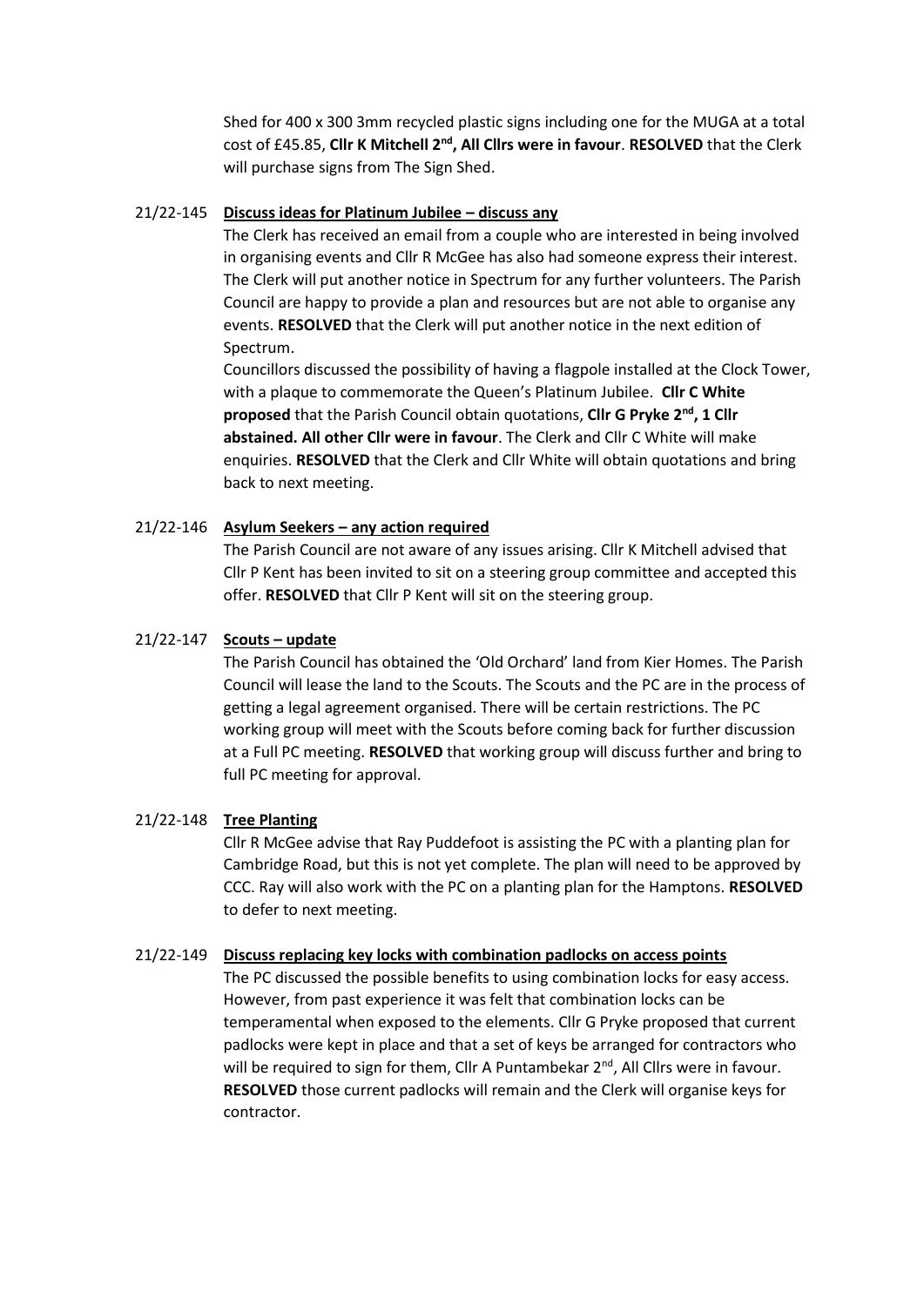Shed for 400 x 300 3mm recycled plastic signs including one for the MUGA at a total cost of £45.85, **Cllr K Mitchell 2nd, All Cllrs were in favour**. **RESOLVED** that the Clerk will purchase signs from The Sign Shed.

#### 21/22-145 **Discuss ideas for Platinum Jubilee – discuss any**

The Clerk has received an email from a couple who are interested in being involved in organising events and Cllr R McGee has also had someone express their interest. The Clerk will put another notice in Spectrum for any further volunteers. The Parish Council are happy to provide a plan and resources but are not able to organise any events. **RESOLVED** that the Clerk will put another notice in the next edition of Spectrum.

Councillors discussed the possibility of having a flagpole installed at the Clock Tower, with a plaque to commemorate the Queen's Platinum Jubilee. **Cllr C White proposed** that the Parish Council obtain quotations, **Cllr G Pryke 2nd, 1 Cllr abstained. All other Cllr were in favour**. The Clerk and Cllr C White will make enquiries. **RESOLVED** that the Clerk and Cllr White will obtain quotations and bring back to next meeting.

#### 21/22-146 **Asylum Seekers – any action required**

The Parish Council are not aware of any issues arising. Cllr K Mitchell advised that Cllr P Kent has been invited to sit on a steering group committee and accepted this offer. **RESOLVED** that Cllr P Kent will sit on the steering group.

#### 21/22-147 **Scouts – update**

The Parish Council has obtained the 'Old Orchard' land from Kier Homes. The Parish Council will lease the land to the Scouts. The Scouts and the PC are in the process of getting a legal agreement organised. There will be certain restrictions. The PC working group will meet with the Scouts before coming back for further discussion at a Full PC meeting. **RESOLVED** that working group will discuss further and bring to full PC meeting for approval.

#### 21/22-148 **Tree Planting**

Cllr R McGee advise that Ray Puddefoot is assisting the PC with a planting plan for Cambridge Road, but this is not yet complete. The plan will need to be approved by CCC. Ray will also work with the PC on a planting plan for the Hamptons. **RESOLVED**  to defer to next meeting.

#### 21/22-149 **Discuss replacing key locks with combination padlocks on access points**

The PC discussed the possible benefits to using combination locks for easy access. However, from past experience it was felt that combination locks can be temperamental when exposed to the elements. Cllr G Pryke proposed that current padlocks were kept in place and that a set of keys be arranged for contractors who will be required to sign for them, Cllr A Puntambekar  $2^{nd}$ , All Cllrs were in favour. **RESOLVED** those current padlocks will remain and the Clerk will organise keys for contractor.